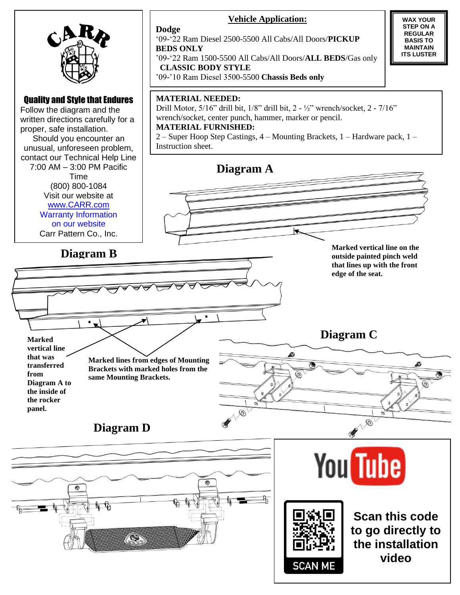